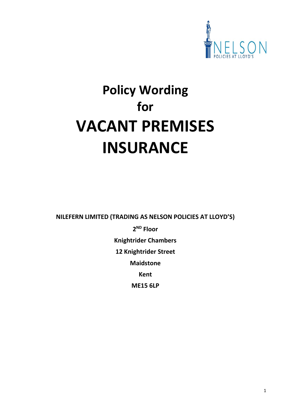

# **Policy Wording for VACANT PREMISES INSURANCE**

**NILEFERN LIMITED (TRADING AS NELSON POLICIES AT LLOYD'S)**

**2 ND Floor Knightrider Chambers 12 Knightrider Street Maidstone Kent ME15 6LP**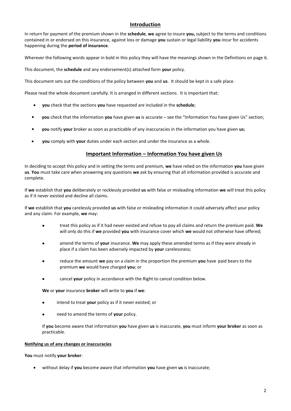# **Introduction**

In return for payment of the premium shown in the **schedule**, **we** agree to insure **you,** subject to the terms and conditions contained in or endorsed on this insurance, against loss or damage **you** sustain or legal liability **you** incur for accidents happening during the **period of insurance**.

Wherever the following words appear in bold in this policy they will have the meanings shown in the Definitions on page 6.

This document, the **schedule** and any endorsement(s) attached form **your** policy.

This document sets out the conditions of the policy between **you** and **us**. It should be kept in a safe place.

Please read the whole document carefully. It is arranged in different sections. It is important that:

- **you** check that the sections **you** have requested are included in the **schedule**;
- **you** check that the information **you** have given **us** is accurate see the "Information You have given Us" section;
- **you** notify **your** broker as soon as practicable of any inaccuracies in the information you have given **us**;
- **you** comply with **your** duties under each section and under the insurance as a whole.

# **Important Information – Information You have given Us**

In deciding to accept this policy and in setting the terms and premium, **we** have relied on the information **you** have given **us**. **You** must take care when answering any questions **we** ask by ensuring that all information provided is accurate and complete.

If **we** establish that **you** deliberately or recklessly provided **us** with false or misleading information **we** will treat this policy as if it never existed and decline all claims.

If **we** establish that **you** carelessly provided **us** with false or misleading information it could adversely affect your policy and any claim. For example, **we** may:

- treat this policy as if it had never existed and refuse to pay all claims and return the premium paid. **We**  will only do this if **we** provided **you** with insurance cover which **we** would not otherwise have offered;
- amend the terms of **your** insurance. **We** may apply these amended terms as if they were already in place if a claim has been adversely impacted by **your** carelessness;
- reduce the amount **we** pay on a claim in the proportion the premium **you** have paid bears to the premium **we** would have charged **you**; or
- cancel **your** policy in accordance with the Right to cancel condition below.

**We** or **your** insurance **broker** will write to **you** if **we**:

- intend to treat **your** policy as if it never existed; or
- need to amend the terms of **your** policy.

If **you** become aware that information **you** have given **us** is inaccurate, **you** must inform **your broker** as soon as practicable.

## **Notifying us of any changes or inaccuracies**

**You** must notify **your broker**:

without delay if **you** become aware that information **you** have given **us** is inaccurate;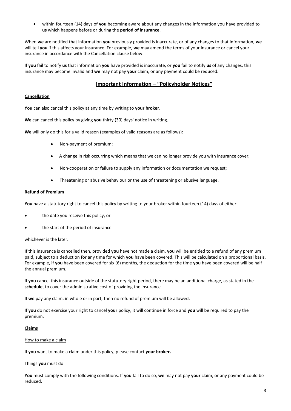within fourteen (14) days of **you** becoming aware about any changes in the information you have provided to **us** which happens before or during the **period of insurance**.

When **we** are notified that information **you** previously provided is inaccurate, or of any changes to that information, **we** will tell **you** if this affects your insurance. For example, **we** may amend the terms of your insurance or cancel your insurance in accordance with the Cancellation clause below.

If **you** fail to notify **us** that information **you** have provided is inaccurate, or **you** fail to notify **us** of any changes, this insurance may become invalid and **we** may not pay **your** claim, or any payment could be reduced.

# **Important Information – "Policyholder Notices"**

#### **Cancellation**

**You** can also cancel this policy at any time by writing to **your broker**.

**We** can cancel this policy by giving **you** thirty (30) days' notice in writing.

**We** will only do this for a valid reason (examples of valid reasons are as follows):

- Non-payment of premium;
- A change in risk occurring which means that we can no longer provide you with insurance cover;
- Non-cooperation or failure to supply any information or documentation we request;
- Threatening or abusive behaviour or the use of threatening or abusive language.

#### **Refund of Premium**

You have a statutory right to cancel this policy by writing to your broker within fourteen (14) days of either:

- the date you receive this policy; or
- the start of the period of insurance

#### whichever is the later.

If this insurance is cancelled then, provided **you** have not made a claim, **you** will be entitled to a refund of any premium paid, subject to a deduction for any time for which **you** have been covered. This will be calculated on a proportional basis. For example, if **you** have been covered for six (6) months, the deduction for the time **you** have been covered will be half the annual premium.

If **you** cancel this insurance outside of the statutory right period, there may be an additional charge, as stated in the **schedule**, to cover the administrative cost of providing the insurance.

If **we** pay any claim, in whole or in part, then no refund of premium will be allowed.

If **you** do not exercise your right to cancel **your** policy, it will continue in force and **you** will be required to pay the premium.

#### **Claims**

#### How to make a claim

If **you** want to make a claim under this policy, please contact **your broker.**

#### Things **you** must do

**You** must comply with the following conditions. If **you** fail to do so, **we** may not pay **your** claim, or any payment could be reduced.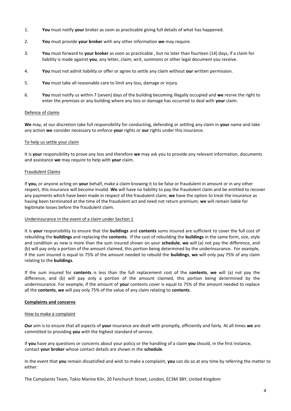- 1. **You** must notify **your** broker as soon as practicable giving full details of what has happened.
- 2. **You** must provide **your broker** with any other information **we** may require.
- 3. **You** must forward to **your broker** as soon as practicable , but no later than fourteen (14) days, if a claim for liability is made against **you**, any letter, claim, writ, summons or other legal document you receive.
- 4. **You** must not admit liability or offer or agree to settle any claim without **our** written permission.
- 5. **You** must take all reasonable care to limit any loss, damage or injury.
- 6. **You** must notify us within 7 (seven) days of the building becoming illegally occupied and **we** resrve the right to enter the premises or any building where any loss or damage has occurred to deal with **your** claim.

# Defence of claims

**We** may, at our discretion take full responsibility for conducting, defending or settling any claim in **your** name and take any action **we** consider necessary to enforce **your** rights or **our** rights under this insurance.

#### To help us settle your claim

It is **your** responsibility to prove any loss and therefore **we** may ask you to provide any relevant information, documents and assistance **we** may require to help with **your** claim.

#### Fraudulent Claims

If **you,** or anyone acting on **your** behalf, make a claim knowing it to be false or fraudulent in amount or in any other respect, this insurance will become invalid. **We** will have no liability to pay the fraudulent claim and be entitled to recover any payments which have been made in respect of the fraudulent claim; **we** have the option to treat the insurance as having been terminated at the time of the fraudulent act and need not return premium; **we** will remain liable for legitimate losses before the fraudulent claim.

#### Underinsurance in the event of a claim under Section 1

It is **your** responsibility to ensure that the **buildings** and **contents** sums insured are sufficient to cover the full cost of rebuilding the **buildings** and replacing the **contents**. If the cost of rebuilding the **buildings** in the same form, size, style and condition as new is more than the sum insured shown on your **schedule**, **we** will (a) not pay the difference, and (b) will pay only a portion of the amount claimed, this portion being determined by the underinsurance. For example, if the sum insured is equal to 75% of the amount needed to rebuild the **buildings**, **we** will only pay 75% of any claim relating to the **buildings**.

If the sum insured for **contents** is less than the full replacement cost of the **contents**, **we** will (a) not pay the difference, and (b) will pay only a portion of the amount claimed, this portion being determined by the underinsurance. For example, if the amount of **your** contents cover is equal to 75% of the amount needed to replace all the **contents**, **we** will pay only 75% of the value of any claim relating to **contents**.

## **Complaints and concerns**

#### How to make a complaint

**Our** aim is to ensure that all aspects of **your** insurance are dealt with promptly, efficiently and fairly. At all times **we** are committed to providing **you** with the highest standard of service.

If **you** have any questions or concerns about your policy or the handling of a claim **you** should, in the first instance, contact **your broker** whose contact details are shown in the **schedule**.

In the event that **you** remain dissatisfied and wish to make a complaint, **you** can do so at any time by referring the matter to either:

The Complaints Team, Tokio Marine Kiln, 20 Fenchurch Street, London, EC3M 3BY, United Kingdom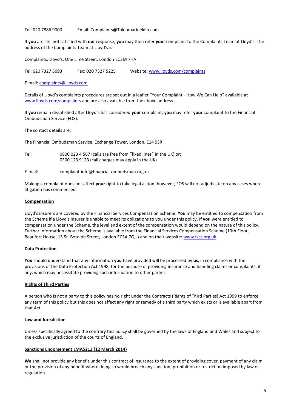Tel: 020 7886 9000 Email: Complaints@Tokiomarinekiln.com

If **you** are still not satisfied with **our** response, **you** may then refer **your** complaint to the Complaints Team at Lloyd's. The address of the Complaints Team at Lloyd's is:

Complaints, Lloyd's, One Lime Street, London EC3M 7HA

Tel: 020 7327 5693 Fax: 020 7327 5225 Website: [www.lloyds.com/complaints](http://www.lloyds.com/complaints)

E-mail[: complaints@Lloyds.com](mailto:complaints@Lloyds.com)

Details of Lloyd's complaints procedures are set out in a leaflet "Your Complaint - How We Can Help" available at [www.lloyds.com/complaints](file:///C:/Users/jclark/AppData/Local/Microsoft/Windows/Temporary%20Internet%20Files/Content.Outlook/AppData/Local/Microsoft/Windows/Temporary%20Internet%20Files/OLK52F5/www.lloyds.com/complaints) and are also available from the above address.

If **you** remain dissatisfied after Lloyd's has considered **your** complaint, **you** may refer **your** complaint to the Financial Ombudsman Service (FOS).

The contact details are:

The Financial Ombudsman Service, Exchange Tower, London, E14 9SR

Tel: 0800 023 4 567 (calls are free from "fixed lines" in the UK) or; 0300 123 9123 (call charges may apply in the UK)

E-mail: complaint.info@financial-ombudsman.org.uk

Making a complaint does not affect **your** right to take legal action, however, FOS will not adjudicate on any cases where litigation has commenced.

## **Compensation**

Lloyd's insurers are covered by the Financial Services Compensation Scheme. **You** may be entitled to compensation from the Scheme if a Lloyd's insurer is unable to meet its obligations to you under this policy. If **you** were entitled to compensation under the Scheme, the level and extent of the compensation would depend on the nature of this policy. Further Information about the Scheme is available from the Financial Services Compensation Scheme (10th Floor, Beaufort House, 15 St. Botolph Street, London EC3A 7QU) and on their website[: www.fscs.org.uk.](http://www.fscs.org.uk/)

## **Data Protection**

**You** should understand that any information **you** have provided will be processed by **us**, in compliance with the provisions of the Data Protection Act 1998, for the purpose of providing insurance and handling claims or complaints, if any, which may necessitate providing such information to other parties.

## **Rights of Third Parties**

A person who is not a party to this policy has no right under the Contracts (Rights of Third Parties) Act 1999 to enforce any term of this policy but this does not affect any right or remedy of a third party which exists or is available apart from that Act.

## **Law and Jurisdiction**

Unless specifically agreed to the contrary this policy shall be governed by the laws of England and Wales and subject to the exclusive jurisdiction of the courts of England.

#### **Sanctions Endorsement LMA5213 (12 March 2014)**

**We** shall not provide any benefit under this contract of insurance to the extent of providing cover, payment of any claim or the provision of any benefit where doing so would breach any sanction, prohibition or restriction imposed by law or regulation.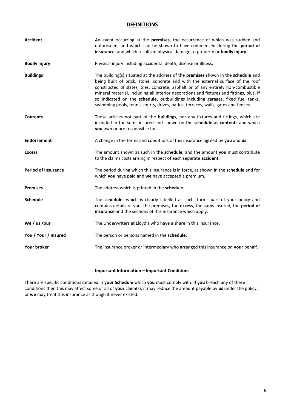# **DEFINITIONS**

| <b>Accident</b>            | An event occurring at the premises, the occurrence of which was sudden and<br>unforeseen, and which can be shown to have commenced during the period of<br>insurance, and which results in physical damage to property or bodily injury.                                                                                                                                                                                                                                                                                       |
|----------------------------|--------------------------------------------------------------------------------------------------------------------------------------------------------------------------------------------------------------------------------------------------------------------------------------------------------------------------------------------------------------------------------------------------------------------------------------------------------------------------------------------------------------------------------|
| <b>Bodily Injury</b>       | Physical injury including accidental death, disease or illness.                                                                                                                                                                                                                                                                                                                                                                                                                                                                |
| <b>Buildings</b>           | The building(s) situated at the address of the premises shown in the schedule and<br>being built of brick, stone, concrete and with the external surface of the roof<br>constructed of slates, tiles, concrete, asphalt or of any entirely non-combustible<br>mineral material, including all interior decorations and fixtures and fittings, plus, if<br>so indicated on the schedule, outbuildings including garages, fixed fuel tanks,<br>swimming pools, tennis courts, drives, patios, terraces, walls, gates and fences. |
| <b>Contents</b>            | Those articles not part of the buildings, nor any fixtures and fittings, which are<br>included in the sums insured and shown on the schedule as contents and which<br>you own or are responsible for.                                                                                                                                                                                                                                                                                                                          |
| <b>Endorsement</b>         | A change in the terms and conditions of this insurance agreed by you and us.                                                                                                                                                                                                                                                                                                                                                                                                                                                   |
| <b>Excess</b>              | The amount shown as such in the schedule, and the amount you must contribute<br>to the claims costs arising in respect of each separate accident.                                                                                                                                                                                                                                                                                                                                                                              |
| <b>Period of Insurance</b> | The period during which this insurance is in force, as shown in the schedule and for<br>which you have paid and we have accepted a premium.                                                                                                                                                                                                                                                                                                                                                                                    |
| <b>Premises</b>            | The address which is printed in the schedule.                                                                                                                                                                                                                                                                                                                                                                                                                                                                                  |
| <b>Schedule</b>            | The schedule, which is clearly labelled as such, forms part of your policy and<br>contains details of you, the premises, the excess, the sums insured, the period of<br>insurance and the sections of this insurance which apply.                                                                                                                                                                                                                                                                                              |
| We / us / our              | The Underwriters at Lloyd's who have a share in this insurance.                                                                                                                                                                                                                                                                                                                                                                                                                                                                |
| You / Your / Insured       | The person or persons named in the schedule.                                                                                                                                                                                                                                                                                                                                                                                                                                                                                   |
| Your broker                | The insurance broker or intermediary who arranged this insurance on your behalf.                                                                                                                                                                                                                                                                                                                                                                                                                                               |

# **Important Information – Important Conditions**

There are specific conditions detailed in **your Schedule** which **you** must comply with. If **you** breach any of these conditions then this may affect some or all of **your** claim(s), it may reduce the amount payable by **us** under the policy, or **we** may treat this insurance as though it never existed.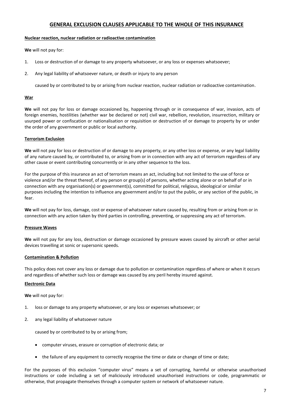# **GENERAL EXCLUSION CLAUSES APPLICABLE TO THE WHOLE OF THIS INSURANCE**

#### **Nuclear reaction, nuclear radiation or radioactive contamination**

**We** will not pay for:

- 1. Loss or destruction of or damage to any property whatsoever, or any loss or expenses whatsoever;
- 2. Any legal liability of whatsoever nature, or death or injury to any person

caused by or contributed to by or arising from nuclear reaction, nuclear radiation or radioactive contamination.

## **War**

**We** will not pay for loss or damage occasioned by, happening through or in consequence of war, invasion, acts of foreign enemies, hostilities (whether war be declared or not) civil war, rebellion, revolution, insurrection, military or usurped power or confiscation or nationalisation or requisition or destruction of or damage to property by or under the order of any government or public or local authority.

## **Terrorism Exclusion**

**We** will not pay for loss or destruction of or damage to any property, or any other loss or expense, or any legal liability of any nature caused by, or contributed to, or arising from or in connection with any act of terrorism regardless of any other cause or event contributing concurrently or in any other sequence to the loss.

For the purpose of this insurance an act of terrorism means an act, including but not limited to the use of force or violence and/or the threat thereof, of any person or group(s) of persons, whether acting alone or on behalf of or in connection with any organisation(s) or government(s), committed for political, religious, ideological or similar purposes including the intention to influence any government and/or to put the public, or any section of the public, in fear.

**We** will not pay for loss, damage, cost or expense of whatsoever nature caused by, resulting from or arising from or in connection with any action taken by third parties in controlling, preventing, or suppressing any act of terrorism.

## **Pressure Waves**

**We** will not pay for any loss, destruction or damage occasioned by pressure waves caused by aircraft or other aerial devices travelling at sonic or supersonic speeds.

## **Contamination & Pollution**

This policy does not cover any loss or damage due to pollution or contamination regardless of where or when it occurs and regardless of whether such loss or damage was caused by any peril hereby insured against.

## **Electronic Data**

**We** will not pay for:

- 1. loss or damage to any property whatsoever, or any loss or expenses whatsoever; or
- 2. any legal liability of whatsoever nature

caused by or contributed to by or arising from;

- computer viruses, erasure or corruption of electronic data; or
- the failure of any equipment to correctly recognise the time or date or change of time or date;

For the purposes of this exclusion "computer virus" means a set of corrupting, harmful or otherwise unauthorised instructions or code including a set of maliciously introduced unauthorised instructions or code, programmatic or otherwise, that propagate themselves through a computer system or network of whatsoever nature.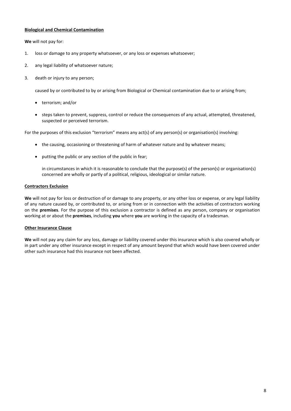# **Biological and Chemical Contamination**

**We** will not pay for:

- 1. loss or damage to any property whatsoever, or any loss or expenses whatsoever;
- 2. any legal liability of whatsoever nature;
- 3. death or injury to any person;

caused by or contributed to by or arising from Biological or Chemical contamination due to or arising from;

- terrorism; and/or
- steps taken to prevent, suppress, control or reduce the consequences of any actual, attempted, threatened, suspected or perceived terrorism.

For the purposes of this exclusion "terrorism" means any act(s) of any person(s) or organisation(s) involving:

- the causing, occasioning or threatening of harm of whatever nature and by whatever means;
- putting the public or any section of the public in fear;

in circumstances in which it is reasonable to conclude that the purpose(s) of the person(s) or organisation(s) concerned are wholly or partly of a political, religious, ideological or similar nature.

#### **Contractors Exclusion**

**We** will not pay for loss or destruction of or damage to any property, or any other loss or expense, or any legal liability of any nature caused by, or contributed to, or arising from or in connection with the activities of contractors working on the **premises**. For the purpose of this exclusion a contractor is defined as any person, company or organisation working at or about the **premises**, including **you** where **you** are working in the capacity of a tradesman.

## **Other Insurance Clause**

**We** will not pay any claim for any loss, damage or liability covered under this insurance which is also covered wholly or in part under any other insurance except in respect of any amount beyond that which would have been covered under other such insurance had this insurance not been affected.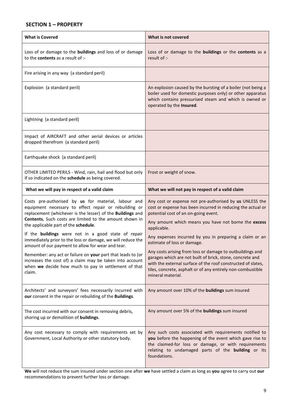# **SECTION 1 – PROPERTY**

| <b>What is Covered</b>                                                                                                                                                                                                                                                        | What is not covered                                                                                                                                                                                                                                                        |
|-------------------------------------------------------------------------------------------------------------------------------------------------------------------------------------------------------------------------------------------------------------------------------|----------------------------------------------------------------------------------------------------------------------------------------------------------------------------------------------------------------------------------------------------------------------------|
| Loss of or damage to the buildings and loss of or damage<br>to the contents as a result of :-                                                                                                                                                                                 | Loss of or damage to the buildings or the contents as a<br>result of :-                                                                                                                                                                                                    |
| Fire arising in any way (a standard peril)                                                                                                                                                                                                                                    |                                                                                                                                                                                                                                                                            |
| Explosion (a standard peril)                                                                                                                                                                                                                                                  | An explosion caused by the bursting of a boiler (not being a<br>boiler used for domestic purposes only) or other apparatus<br>which contains pressurised steam and which is owned or<br>operated by the Insured.                                                           |
| Lightning (a standard peril)                                                                                                                                                                                                                                                  |                                                                                                                                                                                                                                                                            |
| Impact of AIRCRAFT and other aerial devices or articles<br>dropped therefrom (a standard peril)                                                                                                                                                                               |                                                                                                                                                                                                                                                                            |
| Earthquake shock (a standard peril)                                                                                                                                                                                                                                           |                                                                                                                                                                                                                                                                            |
| OTHER LIMITED PERILS - Wind, rain, hail and flood but only<br>if so indicated on the schedule as being covered.                                                                                                                                                               | Frost or weight of snow.                                                                                                                                                                                                                                                   |
| What we will pay in respect of a valid claim                                                                                                                                                                                                                                  | What we will not pay in respect of a valid claim                                                                                                                                                                                                                           |
| Costs pre-authorised by us for material, labour and<br>equipment necessary to effect repair or rebuilding or<br>replacement (whichever is the lesser) of the Buildings and<br>Contents. Such costs are limited to the amount shown in<br>the applicable part of the schedule. | Any cost or expense not pre-authorised by us UNLESS the<br>cost or expense has been incurred in reducing the actual or<br>potential cost of an on-going event.<br>Any amount which means you have not borne the excess<br>applicable.                                      |
| If the buildings were not in a good state of repair<br>immediately prior to the loss or damage, we will reduce the<br>amount of our payment to allow for wear and tear.                                                                                                       | Any expenses incurred by you in preparing a claim or an<br>estimate of loss or damage.                                                                                                                                                                                     |
| Remember: any act or failure on your part that leads to (or<br>increases the cost of) a claim may be taken into account<br>when we decide how much to pay in settlement of that<br>claim.                                                                                     | Any costs arising from loss or damage to outbuildings and<br>garages which are not built of brick, stone, concrete and<br>with the external surface of the roof constructed of slates,<br>tiles, concrete, asphalt or of any entirely non-combustible<br>mineral material. |
| Architects' and surveyors' fees necessarily incurred with<br>our consent in the repair or rebuilding of the Buildings.                                                                                                                                                        | Any amount over 10% of the buildings sum insured                                                                                                                                                                                                                           |
| The cost incurred with our consent in removing debris,<br>shoring up or demolition of buildings.                                                                                                                                                                              | Any amount over 5% of the buildings sum insured                                                                                                                                                                                                                            |
| Any cost necessary to comply with requirements set by<br>Government, Local Authority or other statutory body.                                                                                                                                                                 | Any such costs associated with requirements notified to<br>you before the happening of the event which gave rise to<br>the claimed-for loss or damage, or with requirements<br>relating to undamaged parts of the <b>building</b> or its<br>foundations.                   |

**We** will not reduce the sum insured under section one after **we** have settled a claim as long as **you** agree to carry out **our**  recommendations to prevent further loss or damage.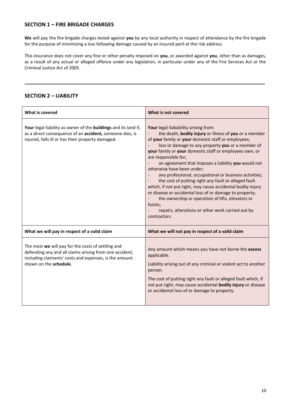# **SECTION 1 – FIRE BRIGADE CHARGES**

**We** will pay the fire brigade charges levied against **you** by any local authority in respect of attendance by the fire brigade for the purpose of minimising a loss following damage caused by an insured peril at the risk address.

This insurance does not cover any fine or other penalty imposed on **you**, or awarded against **you**, other than as damages, as a result of any actual or alleged offence under any legislation, in particular under any of the Fire Services Act or the Criminal Justice Act of 2005.

**\_\_\_\_\_\_\_\_\_\_\_\_\_\_\_\_\_\_\_\_\_\_\_\_\_\_\_\_\_\_\_\_\_\_\_\_\_\_\_\_\_\_\_\_\_\_\_\_\_\_\_\_\_\_\_\_\_\_\_\_\_\_\_\_\_\_\_\_\_\_\_\_\_\_\_\_\_\_\_\_\_\_**

# **SECTION 2 – LIABILITY**

| What is covered                                                                                                                                                                                   | What is not covered                                                                                                                                                                                                                                                                                                                                                                                                                                                                                                                                                                                                                                                                                                                                                                             |
|---------------------------------------------------------------------------------------------------------------------------------------------------------------------------------------------------|-------------------------------------------------------------------------------------------------------------------------------------------------------------------------------------------------------------------------------------------------------------------------------------------------------------------------------------------------------------------------------------------------------------------------------------------------------------------------------------------------------------------------------------------------------------------------------------------------------------------------------------------------------------------------------------------------------------------------------------------------------------------------------------------------|
| Your legal liability as owner of the buildings and its land if,<br>as a direct consequence of an accident, someone dies, is<br>injured, falls ill or has their property damaged.                  | Your legal liabability arising from:<br>the death, bodily injury or illness of you or a member<br>of your family or your domestic staff or employees;<br>loss or damage to any property you or a member of<br>your family or your domestic staff or employees own, or<br>are responsible for;<br>an agreement that imposes a liability you would not<br>otherwise have been under;<br>any professional, occupational or business activities;<br>the cost of putting right any fault or alleged fault<br>$\overline{\phantom{a}}$<br>which, if not put right, may cause accidental bodily injury<br>or disease or accidental loss of or damage to property;<br>the ownership or operation of lifts, elevators or<br>hoists;<br>repairs, alterations or other work carried out by<br>contractors. |
| What we will pay in respect of a valid claim                                                                                                                                                      | What we will not pay in respect of a valid claim                                                                                                                                                                                                                                                                                                                                                                                                                                                                                                                                                                                                                                                                                                                                                |
| The most we will pay for the costs of settling and<br>defending any and all claims arising from one accident,<br>including claimants' costs and expenses, is the amount<br>shown on the schedule. | Any amount which means you have not borne the excess<br>applicable.<br>Liability arising out of any criminal or violent act to another<br>person.<br>The cost of putting right any fault or alleged fault which, if<br>not put right, may cause accidental bodily injury or disease<br>or accidental loss of or damage to property.                                                                                                                                                                                                                                                                                                                                                                                                                                                             |